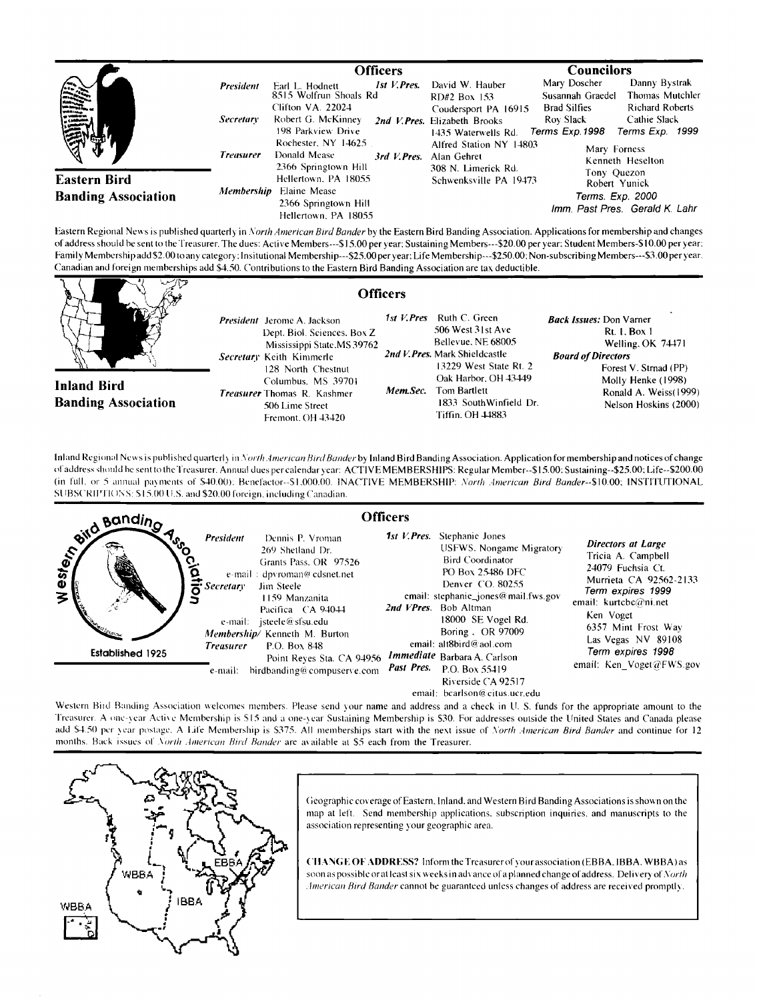|                                            |                   | <b>Officers</b>                                                                      |                                                                              | <b>Councilors</b>                                                                                                     |  |
|--------------------------------------------|-------------------|--------------------------------------------------------------------------------------|------------------------------------------------------------------------------|-----------------------------------------------------------------------------------------------------------------------|--|
| E III<br>E III                             | <b>President</b>  | 1st V. Pres.<br>Earl L. Hodnett<br>8515 Wolfrun Shoals Rd<br>Clifton VA. 22024       | David W. Hauber<br>RD#2 Box 153                                              | Mary Doscher<br>Danny Bystrak<br>Thomas Mutchler<br>Susannah Graedel<br><b>Richard Roberts</b><br><b>Brad Silfies</b> |  |
|                                            | <i>Secretary</i>  | Robert G. McKinney<br>198 Parkview Drive                                             | Coudersport PA 16915<br>2nd V. Pres. Elizabeth Brooks<br>1435 Waterwells Rd. | Roy Slack<br>Cathie Slack<br>Terms Exp. 1998<br>Terms Exp. 1999                                                       |  |
|                                            | <b>Treasurer</b>  | Rochester, NY 14625<br>Donald Mease<br>3rd V.Pres.<br>2366 Springtown Hill           | Alfred Station NY 14803<br>Alan Gehret<br>308 N. Limerick Rd.                | Mary Forness<br>Kenneth Heselton                                                                                      |  |
| Eastern Bird<br><b>Banding Association</b> | <b>Membership</b> | Hellertown, PA 18055<br>Elaine Mease<br>2366 Springtown Hill<br>Hellertown, PA 18055 | Schwenksville PA 19473                                                       | Tony Quezon<br>Robert Yunick<br>Terms. Exp. 2000<br>Imm. Past Pres. Gerald K. Lahr                                    |  |

Eastern Regional News is published quarterly in North American Bird Bander by the Eastern Bird Banding Association. Applications for membership and changes **of address should be sent to the Treasurer. The dues: Active Members---\$15.00 per )'ear: Sustaining Members---S20.00 per year: Student Members-\$ I 0.00 per year:**  Family Membership add \$2.00 to any category: Insitutional Membership---\$25.00 per year: Life Membership---\$250.00: Non-subscribing Members---\$3.00 per year. **Canadian and foreign memberships add \$4.50. Contributions tothe Eastern Bird Banding Association are tax deductible.** 

|                                                  | <b>Officers</b>                                                                                                                                                                                                                                        |                        |                                                                                                                                                                                                            |                                                                                                                                                                                                          |
|--------------------------------------------------|--------------------------------------------------------------------------------------------------------------------------------------------------------------------------------------------------------------------------------------------------------|------------------------|------------------------------------------------------------------------------------------------------------------------------------------------------------------------------------------------------------|----------------------------------------------------------------------------------------------------------------------------------------------------------------------------------------------------------|
| <b>Inland Bird</b><br><b>Banding Association</b> | <i>President</i> Jerome A. Jackson<br>Dept. Biol. Sciences. Box Z<br>Mississippi State, MS 39762<br>Secretary Keith Kimmerle<br>128 North Chestnut<br>Columbus, MS 39701<br><b>Treasurer</b> Thomas R. Kashmer<br>506 Lime Street<br>Fremont, OH 43420 | 1st V.Pres<br>Mem Sec. | Ruth C. Green<br>506 West 31st Ave<br>Bellevue, NE 68005<br>2nd V. Pres. Mark Shieldcastle<br>13229 West State Rt. 2<br>Oak Harbor, OH 43449<br>Tom Bartlett<br>1833 SouthWinfield Dr.<br>Tiffin, OH 44883 | <b>Back Issues:</b> Don Varner<br><b>Rt. 1. Box 1</b><br>Welling, OK 74471<br><b>Board of Directors</b><br>Forest V. Strnad (PP)<br>Molly Henke (1998)<br>Ronald A. Weiss(1999)<br>Nelson Hoskins (2000) |
|                                                  | Inland Regional News is published quarterly in North American Bird Bander by Inland Bird Banding Association. Application for membership and notices of change                                                                                         |                        |                                                                                                                                                                                                            |                                                                                                                                                                                                          |

Infand Regional News is published quarterly in *North American Bird Bander* by Inland Bird Banding Association. Application for membership and notices of change **of address sh,n:l dbe sento the Treasurer. Annual dues per calendar 5'car: ACTIV E MEMBERSHIPS: Regular Member--\$ I 5.007 Sustaining--S25.00:Life--S200.00**  (in full, or 5 annual payments of \$40.00): Benefactor--\$1.000.00. INACTIVE MEMBERSHIP: North American Bird Bander--\$10.00; INSTITUTIONAL SUBSCRIPTIONS: \$15.00 U.S. and \$20.00 foreign, including Canadian.

|                                                                                      | <b>Officers</b>                                                                                                                                                                                                                                                                                                                                                 |                                                                                                                                                                                                                                                                                                                                                                                        |                                                                                                                                                                                                                                                    |
|--------------------------------------------------------------------------------------|-----------------------------------------------------------------------------------------------------------------------------------------------------------------------------------------------------------------------------------------------------------------------------------------------------------------------------------------------------------------|----------------------------------------------------------------------------------------------------------------------------------------------------------------------------------------------------------------------------------------------------------------------------------------------------------------------------------------------------------------------------------------|----------------------------------------------------------------------------------------------------------------------------------------------------------------------------------------------------------------------------------------------------|
| <b>Banding</b><br>' $\delta_{\rm c}$<br>ွင့<br>$\mathbf{v}$<br>ゞ<br>Established 1925 | <b>President</b><br>Dennis P. Vroman<br>269 Shetland Dr.<br>Grants Pass, OR 97526<br>e-mail: dpyroman@cdsnet.net<br><b>Secretary</b><br>Jim Steele<br>1159 Manzanita<br>Pacifica CA 94044<br>e-mail: isteele@sfsu.edu<br>Membership/Kenneth M. Burton<br>P.O. Box 848<br><b>Treasurer</b><br>Point Reves Sta. CA 94956<br>birdbanding@compuserve.com<br>e-mail: | <b>1st V. Pres.</b> Stephanie Jones<br><b>USFWS, Nongame Migratory</b><br><b>Bird Coordinator</b><br><b>PO Box 25486 DFC</b><br>Denver CO. 80255<br>email: stephanie_jones@mail.fws.gov<br>2nd VPres. Bob Altman<br>18000 SE Vogel Rd.<br>Boring. OR 97009<br>email: alt $8$ bird@aol.com<br><i>Immediate</i> Barbara A. Carlson<br>Past Pres.<br>P.O. Box 55419<br>Riverside CA 92517 | Directors at Large<br>Tricia A. Campbell<br>24079 Fuchsia Ct.<br>Murrieta CA 92562-2133<br>Term expires 1999<br>email: $kurtcbc@ni.net$<br>Ken Voget<br>6357 Mint Frost Way<br>Las Vegas NV 89108<br>Term expires 1998<br>email: Ken_Voget@FWS.gov |
|                                                                                      |                                                                                                                                                                                                                                                                                                                                                                 | email: bearlson@citus.ucr.edu                                                                                                                                                                                                                                                                                                                                                          |                                                                                                                                                                                                                                                    |

Western Bird Banding Association welcomes members. Please send your name and address and a check in U. S. funds for the appropriate amount to the Treasurer. A one-year Active Membership is \$15 and a one-year Sustaining Membership is \$30. For addresses outside the United States and Canada please add \$4.50 per year postage. A Life Membership is \$375. All memberships start with the next issue of North American Bird Bander and continue for 12 months. Back issues of North American Bird Bander are available at \$5 each from the Treasurer.



Geographic coverage of Eastern. Inland, and Western Bird Banding Associations is shown on the **map at lel'L Send membership applications. subscription inquiries, and manuscripts to the association representing )our geographic area.** 

**('1 IANG E OF ADDRESS? hfform theTreasurer of) our association (EBBA, IBBA, WBBA)as**  soon as possible or at least six weeks in advance of a planned change of address. Delivery of North American Bird Bander cannot be guaranteed unless changes of address are received promptly.